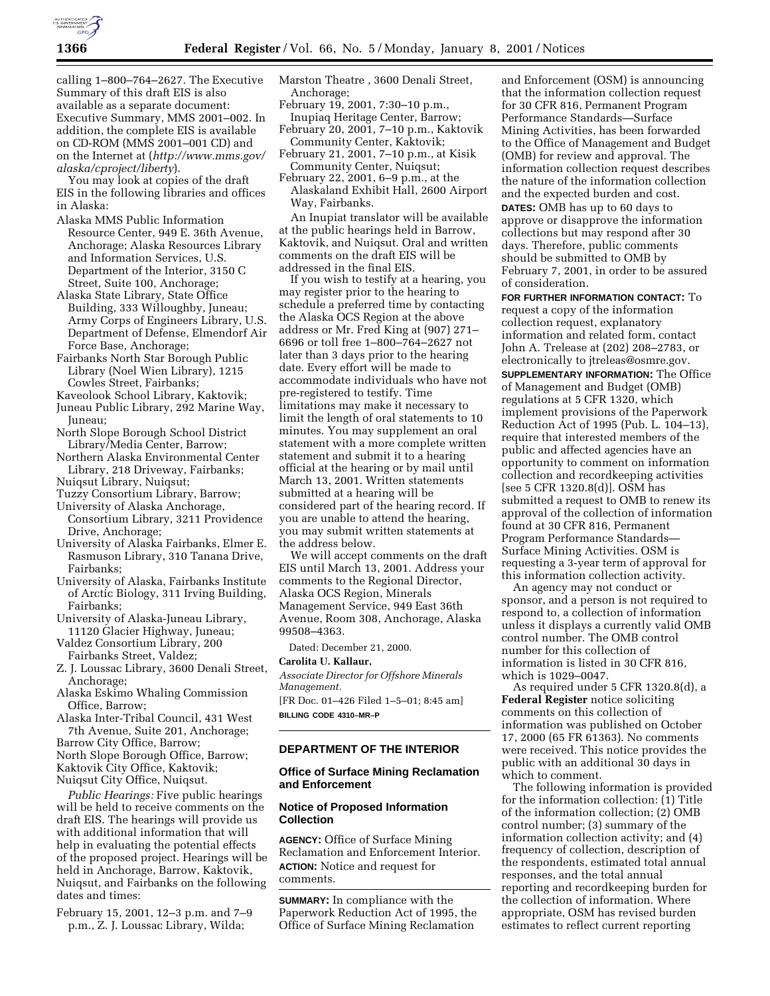

calling 1–800–764–2627. The Executive Summary of this draft EIS is also available as a separate document: Executive Summary, MMS 2001–002. In addition, the complete EIS is available on CD-ROM (MMS 2001–001 CD) and on the Internet at (*http://www.mms.gov/ alaska/cproject/liberty*).

You may look at copies of the draft EIS in the following libraries and offices in Alaska:

- Alaska MMS Public Information Resource Center, 949 E. 36th Avenue, Anchorage; Alaska Resources Library and Information Services, U.S. Department of the Interior, 3150 C Street, Suite 100, Anchorage;
- Alaska State Library, State Office Building, 333 Willoughby, Juneau; Army Corps of Engineers Library, U.S. Department of Defense, Elmendorf Air Force Base, Anchorage;
- Fairbanks North Star Borough Public Library (Noel Wien Library), 1215 Cowles Street, Fairbanks;
- Kaveolook School Library, Kaktovik;
- Juneau Public Library, 292 Marine Way, Juneau;
- North Slope Borough School District Library/Media Center, Barrow;
- Northern Alaska Environmental Center Library, 218 Driveway, Fairbanks; Nuiqsut Library, Nuiqsut;
- Tuzzy Consortium Library, Barrow;
- University of Alaska Anchorage,
- Consortium Library, 3211 Providence Drive, Anchorage;
- University of Alaska Fairbanks, Elmer E. Rasmuson Library, 310 Tanana Drive, Fairbanks;
- University of Alaska, Fairbanks Institute of Arctic Biology, 311 Irving Building, Fairbanks;
- University of Alaska-Juneau Library, 11120 Glacier Highway, Juneau;

Valdez Consortium Library, 200 Fairbanks Street, Valdez;

- Z. J. Loussac Library, 3600 Denali Street, Anchorage;
- Alaska Eskimo Whaling Commission Office, Barrow;
- Alaska Inter-Tribal Council, 431 West 7th Avenue, Suite 201, Anchorage;

Barrow City Office, Barrow; North Slope Borough Office, Barrow; Kaktovik City Office, Kaktovik;

Nuiqsut City Office, Nuiqsut.

*Public Hearings:* Five public hearings will be held to receive comments on the draft EIS. The hearings will provide us with additional information that will help in evaluating the potential effects of the proposed project. Hearings will be held in Anchorage, Barrow, Kaktovik, Nuiqsut, and Fairbanks on the following dates and times:

February 15, 2001, 12–3 p.m. and 7–9 p.m., Z. J. Loussac Library, Wilda;

- Marston Theatre , 3600 Denali Street, Anchorage;
- February 19, 2001, 7:30–10 p.m., Inupiaq Heritage Center, Barrow;

February 20, 2001, 7–10 p.m., Kaktovik Community Center, Kaktovik;

- February 21, 2001, 7–10 p.m., at Kisik Community Center, Nuiqsut;
- February 22, 2001, 6–9 p.m., at the Alaskaland Exhibit Hall, 2600 Airport Way, Fairbanks.

An Inupiat translator will be available at the public hearings held in Barrow, Kaktovik, and Nuiqsut. Oral and written comments on the draft EIS will be addressed in the final EIS.

If you wish to testify at a hearing, you may register prior to the hearing to schedule a preferred time by contacting the Alaska OCS Region at the above address or Mr. Fred King at (907) 271– 6696 or toll free 1–800–764–2627 not later than 3 days prior to the hearing date. Every effort will be made to accommodate individuals who have not pre-registered to testify. Time limitations may make it necessary to limit the length of oral statements to 10 minutes. You may supplement an oral statement with a more complete written statement and submit it to a hearing official at the hearing or by mail until March 13, 2001. Written statements submitted at a hearing will be considered part of the hearing record. If you are unable to attend the hearing, you may submit written statements at the address below.

We will accept comments on the draft EIS until March 13, 2001. Address your comments to the Regional Director, Alaska OCS Region, Minerals Management Service, 949 East 36th Avenue, Room 308, Anchorage, Alaska 99508–4363.

Dated: December 21, 2000.

# **Carolita U. Kallaur,**

*Associate Director for Offshore Minerals Management.*

[FR Doc. 01–426 Filed 1–5–01; 8:45 am] **BILLING CODE 4310–MR–P**

### **DEPARTMENT OF THE INTERIOR**

### **Office of Surface Mining Reclamation and Enforcement**

## **Notice of Proposed Information Collection**

**AGENCY:** Office of Surface Mining Reclamation and Enforcement Interior. **ACTION:** Notice and request for comments.

**SUMMARY:** In compliance with the Paperwork Reduction Act of 1995, the Office of Surface Mining Reclamation

and Enforcement (OSM) is announcing that the information collection request for 30 CFR 816, Permanent Program Performance Standards—Surface Mining Activities, has been forwarded to the Office of Management and Budget (OMB) for review and approval. The information collection request describes the nature of the information collection and the expected burden and cost.

**DATES:** OMB has up to 60 days to approve or disapprove the information collections but may respond after 30 days. Therefore, public comments should be submitted to OMB by February 7, 2001, in order to be assured of consideration.

**FOR FURTHER INFORMATION CONTACT:** To request a copy of the information collection request, explanatory information and related form, contact John A. Trelease at (202) 208–2783, or electronically to jtreleas@osmre.gov. **SUPPLEMENTARY INFORMATION:** The Office of Management and Budget (OMB) regulations at 5 CFR 1320, which implement provisions of the Paperwork Reduction Act of 1995 (Pub. L. 104–13), require that interested members of the public and affected agencies have an opportunity to comment on information collection and recordkeeping activities [see 5 CFR 1320.8(d)]. OSM has submitted a request to OMB to renew its approval of the collection of information found at 30 CFR 816, Permanent Program Performance Standards— Surface Mining Activities. OSM is requesting a 3-year term of approval for this information collection activity.

An agency may not conduct or sponsor, and a person is not required to respond to, a collection of information unless it displays a currently valid OMB control number. The OMB control number for this collection of information is listed in 30 CFR 816, which is 1029–0047.

As required under 5 CFR 1320.8(d), a **Federal Register** notice soliciting comments on this collection of information was published on October 17, 2000 (65 FR 61363). No comments were received. This notice provides the public with an additional 30 days in which to comment.

The following information is provided for the information collection: (1) Title of the information collection; (2) OMB control number; (3) summary of the information collection activity; and (4) frequency of collection, description of the respondents, estimated total annual responses, and the total annual reporting and recordkeeping burden for the collection of information. Where appropriate, OSM has revised burden estimates to reflect current reporting